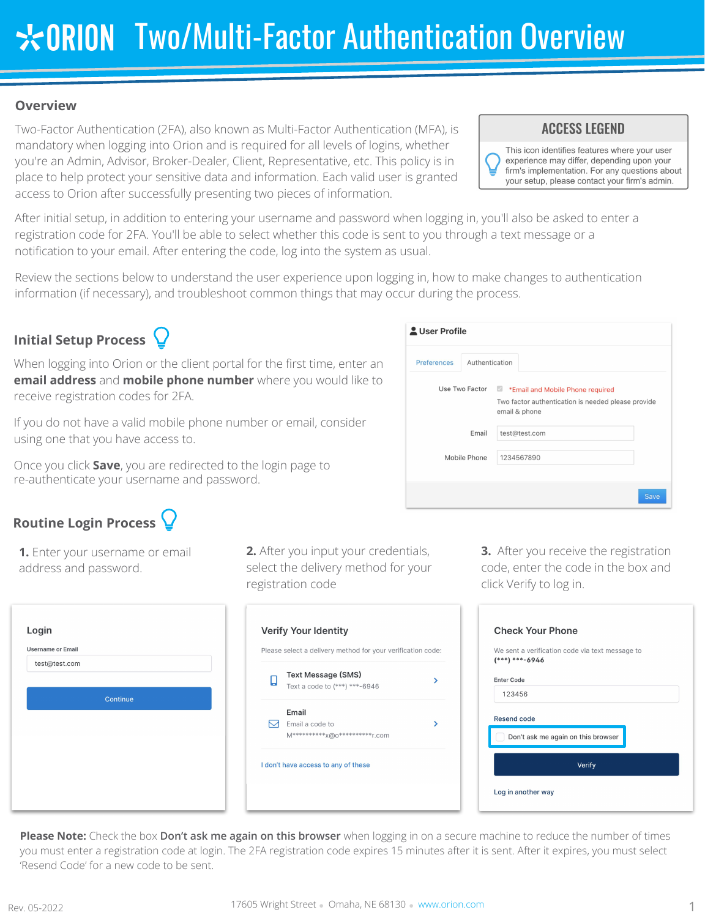## **Overview**

Two-Factor Authentication (2FA), also known as Multi-Factor Authentication (MFA), is mandatory when logging into Orion and is required for all levels of logins, whether you're an Admin, Advisor, Broker-Dealer, Client, Representative, etc. This policy is in place to help protect your sensitive data and information. Each valid user is granted access to Orion after successfully presenting two pieces of information.

## **ACCESS LEGEND**

This icon identifies features where your user experience may differ, depending upon your firm's implementation. For any questions about your setup, please contact your firm's admin.

After initial setup, in addition to entering your username and password when logging in, you'll also be asked to enter a registration code for 2FA. You'll be able to select whether this code is sent to you through a text message or a notification to your email. After entering the code, log into the system as usual.

Review the sections below to understand the user experience upon logging in, how to make changes to authentication information (if necessary), and troubleshoot common things that may occur during the process.

# **Initial Setup Process**

When logging into Orion or the client portal for the first time, enter an **email address** and **mobile phone number** where you would like to receive registration codes for 2FA.

If you do not have a valid mobile phone number or email, consider using one that you have access to.

Once you click **Save**, you are redirected to the login page to re-authenticate your username and password.

# **Routine Login Process**

**1.** Enter your username or email address and password.

| test@test.com |          |  |
|---------------|----------|--|
|               |          |  |
|               | Continue |  |
|               |          |  |
|               |          |  |
|               |          |  |

**2.** After you input your credentials, select the delivery method for your registration code

| О | <b>Text Message (SMS)</b>         |  |
|---|-----------------------------------|--|
|   | Text a code to (***) ***-6946     |  |
|   | Email                             |  |
|   | Email a code to                   |  |
|   | M*********** X@0*********** r.com |  |

**3.** After you receive the registration code, enter the code in the box and click Verify to log in.

|                   | We sent a verification code via text message to<br>$(***)****-6946$ |  |
|-------------------|---------------------------------------------------------------------|--|
| <b>Enter Code</b> |                                                                     |  |
| 123456            |                                                                     |  |
|                   | <b>Resend code</b>                                                  |  |
|                   | Don't ask me again on this browser                                  |  |

**Please Note:** Check the box **Don't ask me again on this browser** when logging in on a secure machine to reduce the number of times you must enter a registration code at login. The 2FA registration code expires 15 minutes after it is sent. After it expires, you must select 'Resend Code' for a new code to be sent.

| <b>Preferences</b> | Authentication |                                                                     |
|--------------------|----------------|---------------------------------------------------------------------|
|                    |                | Use Two Factor <b>Comparison * Email and Mobile Phone required</b>  |
|                    |                | Two factor authentication is needed please provide<br>email & phone |
|                    | Email          | test@test.com                                                       |
|                    | Mobile Phone   | 1234567890                                                          |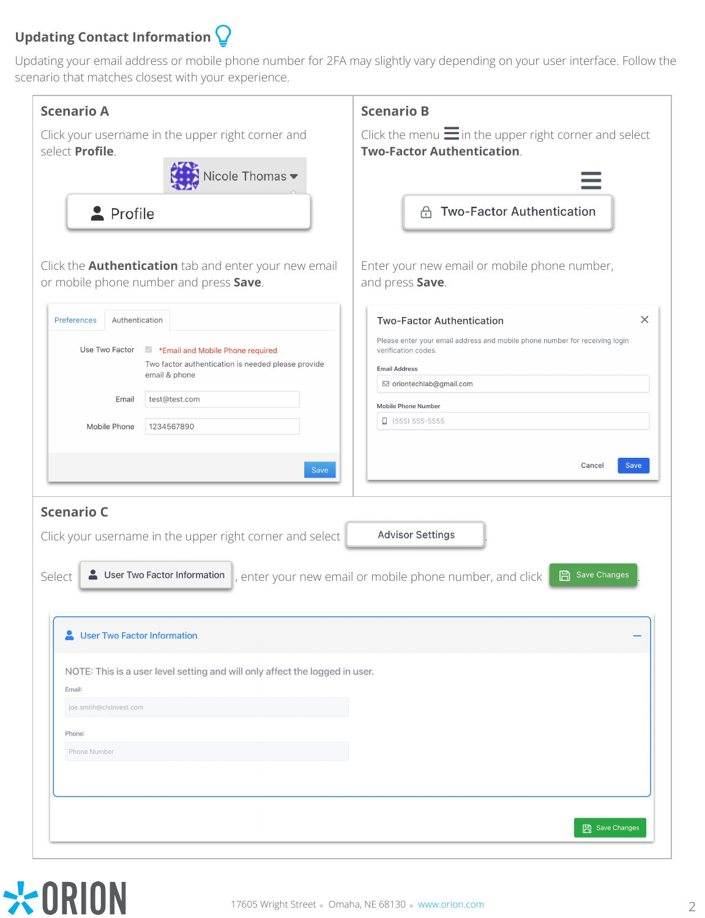# **Updating Contact Information**

Updating your email address or mobile phone number for 2FA may slightly vary depending on your user interface. Follow the scenario that matches closest with your experience.

| <b>Scenario A</b>                                                                                                                                                                                                         | <b>Scenario B</b>                                                                                                                                                                                                                                                        |
|---------------------------------------------------------------------------------------------------------------------------------------------------------------------------------------------------------------------------|--------------------------------------------------------------------------------------------------------------------------------------------------------------------------------------------------------------------------------------------------------------------------|
| Click your username in the upper right corner and<br>select Profile.                                                                                                                                                      | Click the menu $\equiv$ in the upper right corner and select<br><b>Two-Factor Authentication.</b>                                                                                                                                                                        |
| Nicole Thomas ▼<br>Profile<br>Click the <b>Authentication</b> tab and enter your new email<br>or mobile phone number and press Save.                                                                                      | <b>Two-Factor Authentication</b><br>⊕<br>Enter your new email or mobile phone number,<br>and press Save.                                                                                                                                                                 |
| Authentication<br>Preferences<br>Use Two Factor<br>Email and Mobile Phone required<br>Two factor authentication is needed please provide<br>email & phone<br>test@test.com<br>Email<br>Mobile Phone<br>1234567890<br>Save | $\times$<br><b>Two-Factor Authentication</b><br>Please enter your email address and mobile phone number for receiving login<br>verification codes.<br><b>Email Address</b><br>⊠ oriontechlab@gmail.com<br>Mobile Phone Number<br>$\Box$ (555) 555-5555<br>Cancel<br>Save |
| <b>Scenario C</b><br>Click your username in the upper right corner and select<br>User Two Factor Information<br>Select                                                                                                    | <b>Advisor Settings</b><br>Save Changes<br>圖<br>, enter your new email or mobile phone number, and click                                                                                                                                                                 |
| <b>User Two Factor Information</b><br>NOTE: This is a user level setting and will only affect the logged in user.                                                                                                         |                                                                                                                                                                                                                                                                          |
| Email:<br>joe.smith@clsinvest.com                                                                                                                                                                                         |                                                                                                                                                                                                                                                                          |
| Phone:                                                                                                                                                                                                                    |                                                                                                                                                                                                                                                                          |
| Phone Number                                                                                                                                                                                                              |                                                                                                                                                                                                                                                                          |
|                                                                                                                                                                                                                           | <b>日 Save Changes</b>                                                                                                                                                                                                                                                    |

# \*ORION